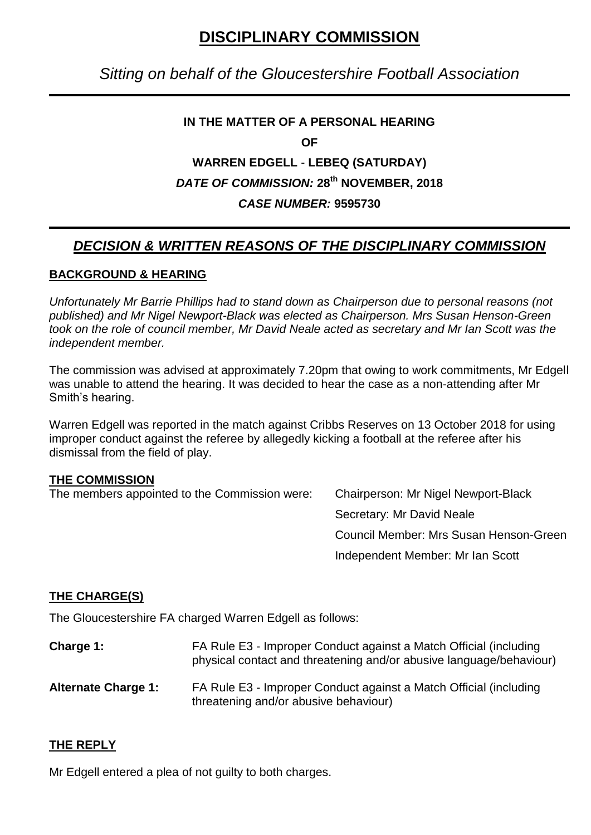# **DISCIPLINARY COMMISSION**

## *Sitting on behalf of the Gloucestershire Football Association*

## **IN THE MATTER OF A PERSONAL HEARING**

**OF**

## **WARREN EDGELL** - **LEBEQ (SATURDAY)** *DATE OF COMMISSION:* **28th NOVEMBER, 2018** *CASE NUMBER:* **9595730**

## *DECISION & WRITTEN REASONS OF THE DISCIPLINARY COMMISSION*

### **BACKGROUND & HEARING**

*Unfortunately Mr Barrie Phillips had to stand down as Chairperson due to personal reasons (not published) and Mr Nigel Newport-Black was elected as Chairperson. Mrs Susan Henson-Green took on the role of council member, Mr David Neale acted as secretary and Mr Ian Scott was the independent member.*

The commission was advised at approximately 7.20pm that owing to work commitments, Mr Edgell was unable to attend the hearing. It was decided to hear the case as a non-attending after Mr Smith's hearing.

Warren Edgell was reported in the match against Cribbs Reserves on 13 October 2018 for using improper conduct against the referee by allegedly kicking a football at the referee after his dismissal from the field of play.

#### **THE COMMISSION**

The members appointed to the Commission were: Chairperson: Mr Nigel Newport-Black

Secretary: Mr David Neale Council Member: Mrs Susan Henson-Green Independent Member: Mr Ian Scott

## **THE CHARGE(S)**

The Gloucestershire FA charged Warren Edgell as follows:

- **Charge 1:** FA Rule E3 Improper Conduct against a Match Official (including physical contact and threatening and/or abusive language/behaviour)
- **Alternate Charge 1:** FA Rule E3 Improper Conduct against a Match Official (including threatening and/or abusive behaviour)

### **THE REPLY**

Mr Edgell entered a plea of not guilty to both charges.